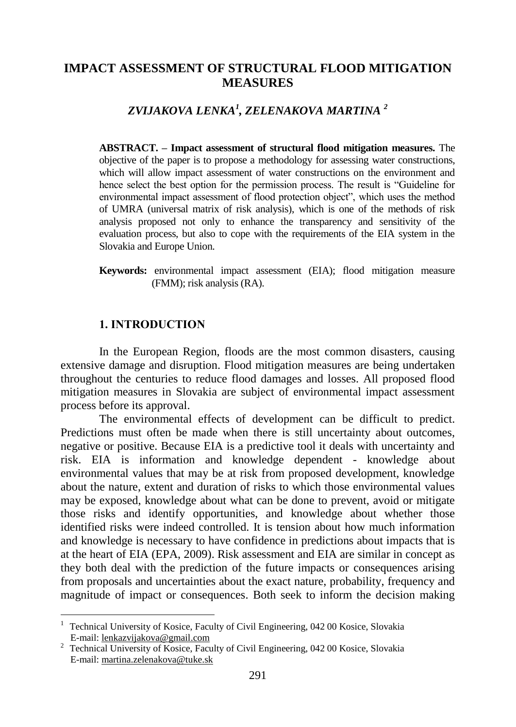# **IMPACT ASSESSMENT OF STRUCTURAL FLOOD MITIGATION MEASURES**

*ZVIJAKOVA LENKA<sup>1</sup> , ZELENAKOVA MARTINA <sup>2</sup>*

**ABSTRACT. – Impact assessment of structural flood mitigation measures.** The objective of the paper is to propose a methodology for assessing water constructions, which will allow impact assessment of water constructions on the environment and hence select the best option for the permission process. The result is "Guideline for environmental impact assessment of flood protection object", which uses the method of UMRA (universal matrix of risk analysis), which is one of the methods of risk analysis proposed not only to enhance the transparency and sensitivity of the evaluation process, but also to cope with the requirements of the EIA system in the Slovakia and Europe Union.

**Keywords:** environmental impact assessment (EIA); flood mitigation measure (FMM); risk analysis (RA).

### **1. INTRODUCTION**

 $\overline{a}$ 

In the European Region, floods are the most common disasters, causing extensive damage and disruption. Flood mitigation measures are being undertaken throughout the centuries to reduce flood damages and losses. All proposed flood mitigation measures in Slovakia are subject of environmental impact assessment process before its approval.

The environmental effects of development can be difficult to predict. Predictions must often be made when there is still uncertainty about outcomes, negative or positive. Because EIA is a predictive tool it deals with uncertainty and risk. EIA is information and knowledge dependent - knowledge about environmental values that may be at risk from proposed development, knowledge about the nature, extent and duration of risks to which those environmental values may be exposed, knowledge about what can be done to prevent, avoid or mitigate those risks and identify opportunities, and knowledge about whether those identified risks were indeed controlled. It is tension about how much information and knowledge is necessary to have confidence in predictions about impacts that is at the heart of EIA (EPA, 2009). Risk assessment and EIA are similar in concept as they both deal with the prediction of the future impacts or consequences arising from proposals and uncertainties about the exact nature, probability, frequency and magnitude of impact or consequences. Both seek to inform the decision making

<sup>&</sup>lt;sup>1</sup> Technical University of Kosice, Faculty of Civil Engineering, 042 00 Kosice, Slovakia E-mail: lenkazvijakova@gmail.com

<sup>2</sup> Technical University of Kosice, Faculty of Civil Engineering, 042 00 Kosice, Slovakia E-mail: martina.zelenakova@tuke.sk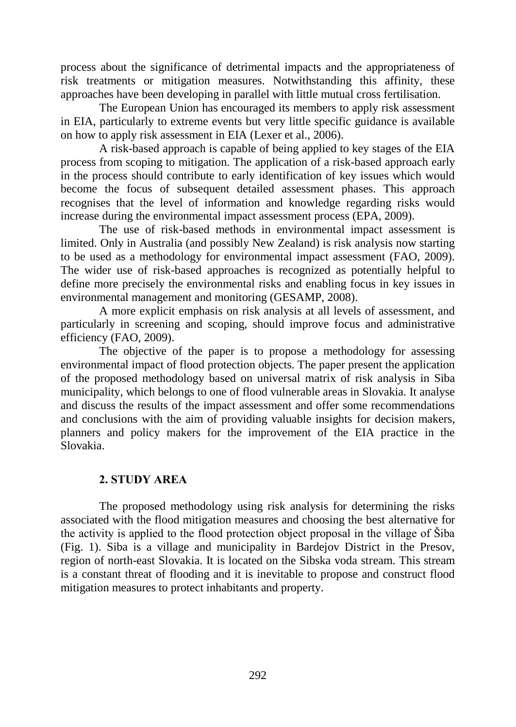process about the significance of detrimental impacts and the appropriateness of risk treatments or mitigation measures. Notwithstanding this affinity, these approaches have been developing in parallel with little mutual cross fertilisation.

The European Union has encouraged its members to apply risk assessment in EIA, particularly to extreme events but very little specific guidance is available on how to apply risk assessment in EIA (Lexer et al., 2006).

A risk-based approach is capable of being applied to key stages of the EIA process from scoping to mitigation. The application of a risk-based approach early in the process should contribute to early identification of key issues which would become the focus of subsequent detailed assessment phases. This approach recognises that the level of information and knowledge regarding risks would increase during the environmental impact assessment process (EPA, 2009).

The use of risk-based methods in environmental impact assessment is limited. Only in Australia (and possibly New Zealand) is risk analysis now starting to be used as a methodology for environmental impact assessment (FAO, 2009). The wider use of risk-based approaches is recognized as potentially helpful to define more precisely the environmental risks and enabling focus in key issues in environmental management and monitoring (GESAMP, 2008).

A more explicit emphasis on risk analysis at all levels of assessment, and particularly in screening and scoping, should improve focus and administrative efficiency (FAO, 2009).

The objective of the paper is to propose a methodology for assessing environmental impact of flood protection objects. The paper present the application of the proposed methodology based on universal matrix of risk analysis in Siba municipality, which belongs to one of flood vulnerable areas in Slovakia. It analyse and discuss the results of the impact assessment and offer some recommendations and conclusions with the aim of providing valuable insights for decision makers, planners and policy makers for the improvement of the EIA practice in the Slovakia.

## **2. STUDY AREA**

The proposed methodology using risk analysis for determining the risks associated with the flood mitigation measures and choosing the best alternative for the activity is applied to the flood protection object proposal in the village of Šiba (Fig. 1). Siba is a village and municipality in Bardejov District in the Presov, region of north-east Slovakia. It is located on the Sibska voda stream. This stream is a constant threat of flooding and it is inevitable to propose and construct flood mitigation measures to protect inhabitants and property.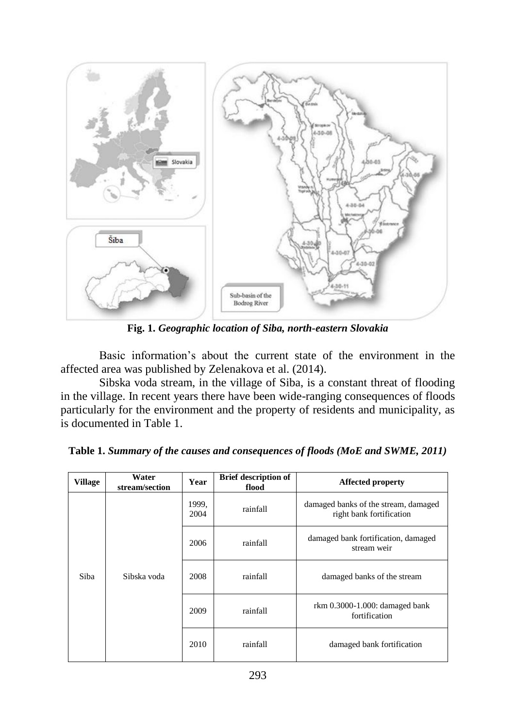

**Fig. 1.** *Geographic location of Siba, north-eastern Slovakia*

Basic information's about the current state of the environment in the affected area was published by Zelenakova et al. (2014).

Sibska voda stream, in the village of Siba, is a constant threat of flooding in the village. In recent years there have been wide-ranging consequences of floods particularly for the environment and the property of residents and municipality, as is documented in Table 1.

| <b>Village</b> | Water<br>stream/section | Year          | <b>Brief description of</b><br>flood | <b>Affected property</b>                                         |  |
|----------------|-------------------------|---------------|--------------------------------------|------------------------------------------------------------------|--|
| Siba           | Sibska voda             | 1999,<br>2004 | rainfall                             | damaged banks of the stream, damaged<br>right bank fortification |  |
|                |                         | 2006          | rainfall                             | damaged bank fortification, damaged<br>stream weir               |  |
|                |                         | 2008          | rainfall                             | damaged banks of the stream                                      |  |
|                |                         | 2009          | rainfall                             | rkm 0.3000-1.000: damaged bank<br>fortification                  |  |
|                |                         | 2010          | rainfall                             | damaged bank fortification                                       |  |

**Table 1.** *Summary of the causes and consequences of floods (MoE and SWME, 2011)*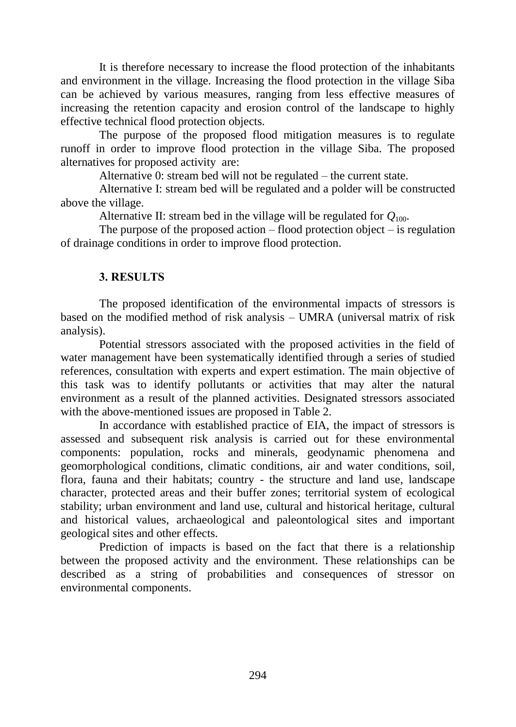It is therefore necessary to increase the flood protection of the inhabitants and environment in the village. Increasing the flood protection in the village Siba can be achieved by various measures, ranging from less effective measures of increasing the retention capacity and erosion control of the landscape to highly effective technical flood protection objects.

The purpose of the proposed flood mitigation measures is to regulate runoff in order to improve flood protection in the village Siba. The proposed alternatives for proposed activity are:

Alternative 0: stream bed will not be regulated – the current state.

Alternative I: stream bed will be regulated and a polder will be constructed above the village.

Alternative II: stream bed in the village will be regulated for  $Q_{100}$ .

The purpose of the proposed action  $-$  flood protection object  $-$  is regulation of drainage conditions in order to improve flood protection.

## **3. RESULTS**

The proposed identification of the environmental impacts of stressors is based on the modified method of risk analysis – UMRA (universal matrix of risk analysis).

Potential stressors associated with the proposed activities in the field of water management have been systematically identified through a series of studied references, consultation with experts and expert estimation. The main objective of this task was to identify pollutants or activities that may alter the natural environment as a result of the planned activities. Designated stressors associated with the above-mentioned issues are proposed in Table 2.

In accordance with established practice of EIA, the impact of stressors is assessed and subsequent risk analysis is carried out for these environmental components: population, rocks and minerals, geodynamic phenomena and geomorphological conditions, climatic conditions, air and water conditions, soil, flora, fauna and their habitats; country - the structure and land use, landscape character, protected areas and their buffer zones; territorial system of ecological stability; urban environment and land use, cultural and historical heritage, cultural and historical values, archaeological and paleontological sites and important geological sites and other effects.

Prediction of impacts is based on the fact that there is a relationship between the proposed activity and the environment. These relationships can be described as a string of probabilities and consequences of stressor on environmental components.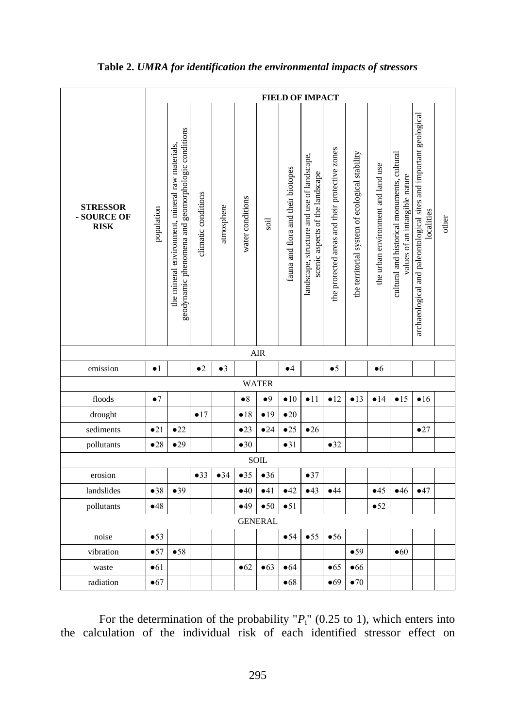|                                               | <b>FIELD OF IMPACT</b> |                                                                                                       |                     |             |                  |                        |                                    |                                                                               |                                                |                                                |                                    |                                                                               |                                                                                 |       |
|-----------------------------------------------|------------------------|-------------------------------------------------------------------------------------------------------|---------------------|-------------|------------------|------------------------|------------------------------------|-------------------------------------------------------------------------------|------------------------------------------------|------------------------------------------------|------------------------------------|-------------------------------------------------------------------------------|---------------------------------------------------------------------------------|-------|
| <b>STRESSOR</b><br>- SOURCE OF<br><b>RISK</b> | population             | geodynamic phenomena and geomorphologic conditions<br>the mineral environment, mineral raw materials, | climatic conditions | atmosphere  | water conditions | soil                   | fauna and flora and their biotopes | landscape, structure and use of landscape,<br>scenic aspects of the landscape | the protected areas and their protective zones | the territorial system of ecological stability | the urban environment and land use | cultural and historical monuments, cultural<br>values of an intangible nature | archaeological and paleontological sites and important geological<br>localities | other |
|                                               |                        |                                                                                                       |                     |             |                  | $\rm AIR$              |                                    |                                                                               |                                                |                                                |                                    |                                                                               |                                                                                 |       |
| emission                                      | $\bullet$ 1            |                                                                                                       | $\bullet$ 2         | $\bullet$ 3 |                  |                        | $\bullet$ <sup>4</sup>             |                                                                               | $\bullet 5$                                    |                                                | •6                                 |                                                                               |                                                                                 |       |
|                                               |                        |                                                                                                       |                     |             |                  | <b>WATER</b>           |                                    |                                                                               |                                                |                                                |                                    |                                                                               |                                                                                 |       |
| floods                                        | $\bullet 7$            |                                                                                                       |                     |             | $\bullet 8$      | $\bullet$ <sup>9</sup> | $\bullet 10$                       | $\bullet$ 11                                                                  | •12                                            | •13                                            | •14                                | •15                                                                           | •16                                                                             |       |
| drought                                       |                        |                                                                                                       | •17                 |             | •18              | •19                    | $\bullet 20$                       |                                                                               |                                                |                                                |                                    |                                                                               |                                                                                 |       |
| sediments                                     | •21                    | $\bullet$ 22                                                                                          |                     |             | •23              | •24                    | •25                                | •26                                                                           |                                                |                                                |                                    |                                                                               | •27                                                                             |       |
| pollutants                                    | •28                    | •29                                                                                                   |                     |             | $\bullet 30$     |                        | •31                                |                                                                               | •32                                            |                                                |                                    |                                                                               |                                                                                 |       |
| SOIL                                          |                        |                                                                                                       |                     |             |                  |                        |                                    |                                                                               |                                                |                                                |                                    |                                                                               |                                                                                 |       |
| erosion                                       |                        |                                                                                                       | •33                 | •34         | •35              | •36                    |                                    | •37                                                                           |                                                |                                                |                                    |                                                                               |                                                                                 |       |
| landslides                                    | •38                    | •39                                                                                                   |                     |             | •40              | $-41$                  | •42                                | •43                                                                           | •44                                            |                                                | •45                                | •46                                                                           | •47                                                                             |       |
| pollutants                                    | •48                    |                                                                                                       |                     |             | •49              | •50                    | •51                                |                                                                               |                                                |                                                | •52                                |                                                                               |                                                                                 |       |
| <b>GENERAL</b>                                |                        |                                                                                                       |                     |             |                  |                        |                                    |                                                                               |                                                |                                                |                                    |                                                                               |                                                                                 |       |
| noise                                         | •53                    |                                                                                                       |                     |             |                  |                        | •54                                | •55                                                                           | •56                                            |                                                |                                    |                                                                               |                                                                                 |       |
| vibration                                     | •57                    | •58                                                                                                   |                     |             |                  |                        |                                    |                                                                               |                                                | •59                                            |                                    | •60                                                                           |                                                                                 |       |
| waste                                         | •61                    |                                                                                                       |                     |             | •62              | •63                    | •64                                |                                                                               | •65                                            | •66                                            |                                    |                                                                               |                                                                                 |       |
| radiation                                     | •67                    |                                                                                                       |                     |             |                  |                        | •68                                |                                                                               | •69                                            | $\bullet$ 70                                   |                                    |                                                                               |                                                                                 |       |

### **Table 2.** *UMRA for identification the environmental impacts of stressors*

For the determination of the probability  $P_i$ <sup>"</sup> (0.25 to 1), which enters into the calculation of the individual risk of each identified stressor effect on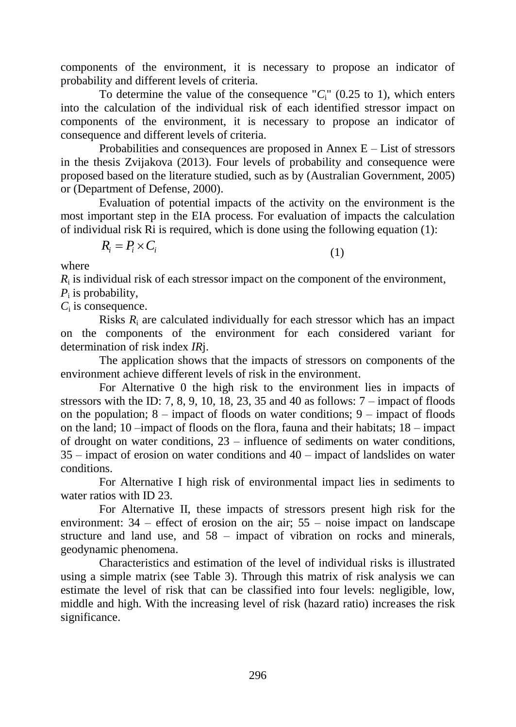components of the environment, it is necessary to propose an indicator of probability and different levels of criteria.

To determine the value of the consequence " $C_i$ " (0.25 to 1), which enters into the calculation of the individual risk of each identified stressor impact on components of the environment, it is necessary to propose an indicator of consequence and different levels of criteria.

Probabilities and consequences are proposed in Annex  $E - List$  of stressors in the thesis Zvijakova (2013). Four levels of probability and consequence were proposed based on the literature studied, such as by (Australian Government, 2005) or (Department of Defense, 2000).

Evaluation of potential impacts of the activity on the environment is the most important step in the EIA process. For evaluation of impacts the calculation of individual risk Ri is required, which is done using the following equation (1):

$$
R_i = P_i \times C_i \tag{1}
$$

where

 $R_i$  is individual risk of each stressor impact on the component of the environment,

*P*i is probability,

 $C_i$  is consequence.

Risks *R*<sup>i</sup> are calculated individually for each stressor which has an impact on the components of the environment for each considered variant for determination of risk index *IR*j.

The application shows that the impacts of stressors on components of the environment achieve different levels of risk in the environment.

For Alternative 0 the high risk to the environment lies in impacts of stressors with the ID: 7, 8, 9, 10, 18, 23, 35 and 40 as follows:  $7 -$  impact of floods on the population;  $8 -$  impact of floods on water conditions;  $9 -$  impact of floods on the land; 10 –impact of floods on the flora, fauna and their habitats; 18 – impact of drought on water conditions, 23 – influence of sediments on water conditions, 35 – impact of erosion on water conditions and 40 – impact of landslides on water conditions.

For Alternative I high risk of environmental impact lies in sediments to water ratios with ID 23.

For Alternative II, these impacts of stressors present high risk for the environment: 34 – effect of erosion on the air; 55 – noise impact on landscape structure and land use, and 58 – impact of vibration on rocks and minerals, geodynamic phenomena.

Characteristics and estimation of the level of individual risks is illustrated using a simple matrix (see Table 3). Through this matrix of risk analysis we can estimate the level of risk that can be classified into four levels: negligible, low, middle and high. With the increasing level of risk (hazard ratio) increases the risk significance.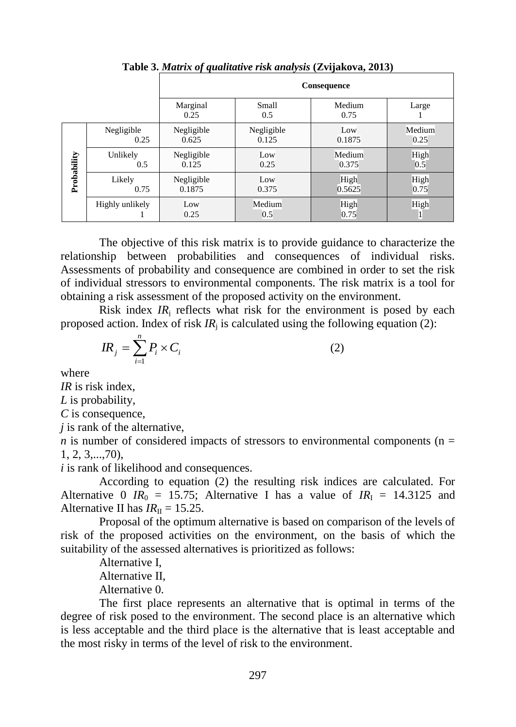|             |                    | . .<br>Consequence   |                     |                 |                |  |  |  |
|-------------|--------------------|----------------------|---------------------|-----------------|----------------|--|--|--|
|             |                    | Marginal<br>0.25     | Small<br>0.5        | Medium<br>0.75  | Large          |  |  |  |
| Probability | Negligible<br>0.25 | Negligible<br>0.625  | Negligible<br>0.125 | Low<br>0.1875   | Medium<br>0.25 |  |  |  |
|             | Unlikely<br>0.5    | Negligible<br>0.125  | Low<br>0.25         | Medium<br>0.375 | High<br>0.5    |  |  |  |
|             | Likely<br>0.75     | Negligible<br>0.1875 | Low<br>0.375        | High<br>0.5625  | High<br>0.75   |  |  |  |
|             | Highly unlikely    | Low<br>0.25          | Medium<br>0.5       | High<br>0.75    | High           |  |  |  |

**Table 3.** *Matrix of qualitative risk analysis* **(Zvijakova, 2013)**

The objective of this risk matrix is to provide guidance to characterize the relationship between probabilities and consequences of individual risks. Assessments of probability and consequence are combined in order to set the risk of individual stressors to environmental components. The risk matrix is a tool for obtaining a risk assessment of the proposed activity on the environment.

Risk index  $IR_i$  reflects what risk for the environment is posed by each proposed action. Index of risk  $IR_i$  is calculated using the following equation (2):

$$
IR_j = \sum_{i=1}^n P_i \times C_i \tag{2}
$$

where

*IR* is risk index,

*L* is probability,

*C* is consequence,

*j* is rank of the alternative,

*n* is number of considered impacts of stressors to environmental components ( $n =$ 1, 2, 3,...,70),

*i* is rank of likelihood and consequences.

According to equation (2) the resulting risk indices are calculated. For Alternative 0  $IR_0 = 15.75$ ; Alternative I has a value of  $IR_I = 14.3125$  and Alternative II has  $IR_{\text{II}} = 15.25$ .

Proposal of the optimum alternative is based on comparison of the levels of risk of the proposed activities on the environment, on the basis of which the suitability of the assessed alternatives is prioritized as follows:

Alternative I, Alternative II, Alternative 0.

The first place represents an alternative that is optimal in terms of the degree of risk posed to the environment. The second place is an alternative which is less acceptable and the third place is the alternative that is least acceptable and the most risky in terms of the level of risk to the environment.